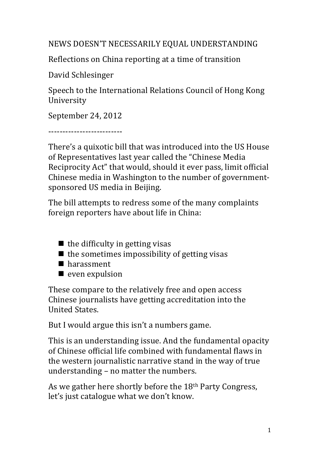NEWS DOESN'T NECESSARILY EQUAL UNDERSTANDING

Reflections on China reporting at a time of transition

David Schlesinger

Speech to the International Relations Council of Hong Kong University

September 24, 2012

--------------------------

There's a quixotic bill that was introduced into the US House of Representatives last year called the "Chinese Media Reciprocity Act" that would, should it ever pass, limit official Chinese media in Washington to the number of governmentsponsored US media in Beijing.

The bill attempts to redress some of the many complaints foreign reporters have about life in China:

- $\blacksquare$  the difficulty in getting visas
- $\blacksquare$  the sometimes impossibility of getting visas
- $\blacksquare$  harassment
- $\blacksquare$  even expulsion

These compare to the relatively free and open access Chinese journalists have getting accreditation into the United States.

But I would argue this isn't a numbers game.

This is an understanding issue. And the fundamental opacity of Chinese official life combined with fundamental flaws in the western journalistic narrative stand in the way of true understanding  $-$  no matter the numbers.

As we gather here shortly before the 18<sup>th</sup> Party Congress, let's just catalogue what we don't know.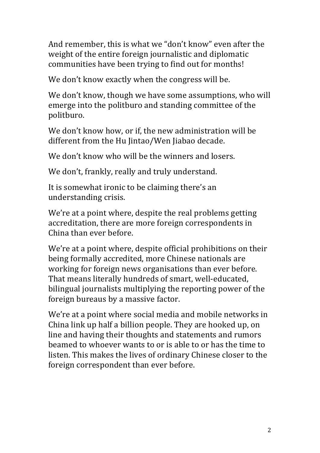And remember, this is what we "don't know" even after the weight of the entire foreign journalistic and diplomatic communities have been trying to find out for months!

We don't know exactly when the congress will be.

We don't know, though we have some assumptions, who will emerge into the politburo and standing committee of the politburo.

We don't know how, or if, the new administration will be different from the Hu Jintao/Wen Jiabao decade.

We don't know who will be the winners and losers.

We don't, frankly, really and truly understand.

It is somewhat ironic to be claiming there's an understanding crisis.

We're at a point where, despite the real problems getting accreditation, there are more foreign correspondents in China than ever before.

We're at a point where, despite official prohibitions on their being formally accredited, more Chinese nationals are working for foreign news organisations than ever before. That means literally hundreds of smart, well-educated, bilingual journalists multiplying the reporting power of the foreign bureaus by a massive factor.

We're at a point where social media and mobile networks in China link up half a billion people. They are hooked up, on line and having their thoughts and statements and rumors beamed to whoever wants to or is able to or has the time to listen. This makes the lives of ordinary Chinese closer to the foreign correspondent than ever before.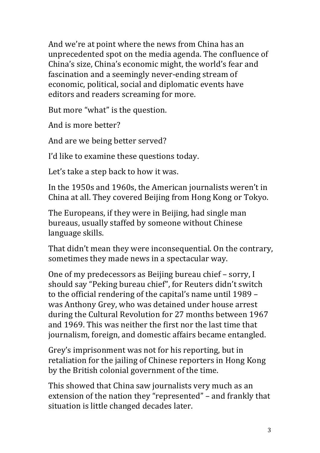And we're at point where the news from China has an unprecedented spot on the media agenda. The confluence of China's size, China's economic might, the world's fear and fascination and a seemingly never-ending stream of economic, political, social and diplomatic events have editors and readers screaming for more.

But more "what" is the question.

And is more better?

And are we being better served?

I'd like to examine these questions today.

Let's take a step back to how it was.

In the 1950s and 1960s, the American iournalists weren't in China at all. They covered Beijing from Hong Kong or Tokyo.

The Europeans, if they were in Beijing, had single man bureaus, usually staffed by someone without Chinese language skills.

That didn't mean they were inconsequential. On the contrary, sometimes they made news in a spectacular way.

One of my predecessors as Beijing bureau chief – sorry, I should say "Peking bureau chief", for Reuters didn't switch to the official rendering of the capital's name until 1989 – was Anthony Grey, who was detained under house arrest during the Cultural Revolution for 27 months between 1967 and 1969. This was neither the first nor the last time that journalism, foreign, and domestic affairs became entangled.

Grey's imprisonment was not for his reporting, but in retaliation for the jailing of Chinese reporters in Hong Kong by the British colonial government of the time.

This showed that China saw journalists very much as an extension of the nation they "represented" – and frankly that situation is little changed decades later.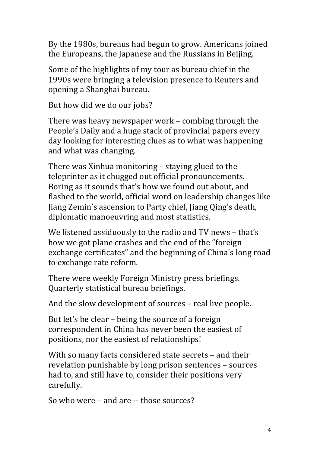By the 1980s, bureaus had begun to grow. Americans joined the Europeans, the Japanese and the Russians in Beijing.

Some of the highlights of my tour as bureau chief in the 1990s were bringing a television presence to Reuters and opening a Shanghai bureau.

But how did we do our jobs?

There was heavy newspaper work  $-$  combing through the People's Daily and a huge stack of provincial papers every day looking for interesting clues as to what was happening and what was changing.

There was Xinhua monitoring – staying glued to the teleprinter as it chugged out official pronouncements. Boring as it sounds that's how we found out about, and flashed to the world, official word on leadership changes like Jiang Zemin's ascension to Party chief, Jiang Qing's death, diplomatic manoeuvring and most statistics.

We listened assiduously to the radio and TV news - that's how we got plane crashes and the end of the "foreign" exchange certificates" and the beginning of China's long road to exchange rate reform.

There were weekly Foreign Ministry press briefings. Quarterly statistical bureau briefings.

And the slow development of sources – real live people.

But let's be clear  $-$  being the source of a foreign correspondent in China has never been the easiest of positions, nor the easiest of relationships!

With so many facts considered state secrets – and their revelation punishable by long prison sentences - sources had to, and still have to, consider their positions very carefully.

So who were - and are -- those sources?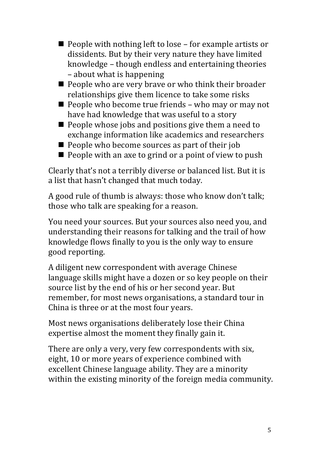- $\blacksquare$  People with nothing left to lose for example artists or dissidents. But by their very nature they have limited knowledge – though endless and entertaining theories – about what is happening
- $\blacksquare$  People who are very brave or who think their broader relationships give them licence to take some risks
- $\blacksquare$  People who become true friends who may or may not have had knowledge that was useful to a story
- $\blacksquare$  People whose jobs and positions give them a need to exchange information like academics and researchers
- $\blacksquare$  People who become sources as part of their job
- $\blacksquare$  People with an axe to grind or a point of view to push

Clearly that's not a terribly diverse or balanced list. But it is a list that hasn't changed that much today.

A good rule of thumb is always: those who know don't talk; those who talk are speaking for a reason.

You need your sources. But your sources also need you, and understanding their reasons for talking and the trail of how knowledge flows finally to you is the only way to ensure good reporting.

A diligent new correspondent with average Chinese language skills might have a dozen or so key people on their source list by the end of his or her second year. But remember, for most news organisations, a standard tour in China is three or at the most four years.

Most news organisations deliberately lose their China expertise almost the moment they finally gain it.

There are only a very, very few correspondents with six, eight, 10 or more years of experience combined with excellent Chinese language ability. They are a minority within the existing minority of the foreign media community.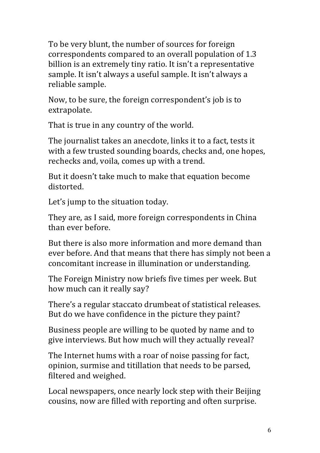To be very blunt, the number of sources for foreign correspondents compared to an overall population of 1.3 billion is an extremely tiny ratio. It isn't a representative sample. It isn't always a useful sample. It isn't always a reliable sample.

Now, to be sure, the foreign correspondent's job is to extrapolate.

That is true in any country of the world.

The journalist takes an anecdote, links it to a fact, tests it with a few trusted sounding boards, checks and, one hopes, rechecks and, voila, comes up with a trend.

But it doesn't take much to make that equation become distorted.

Let's jump to the situation today.

They are, as I said, more foreign correspondents in China than ever before

But there is also more information and more demand than ever before. And that means that there has simply not been a concomitant increase in illumination or understanding.

The Foreign Ministry now briefs five times per week. But how much can it really say?

There's a regular staccato drumbeat of statistical releases. But do we have confidence in the picture they paint?

Business people are willing to be quoted by name and to give interviews. But how much will they actually reveal?

The Internet hums with a roar of noise passing for fact, opinion, surmise and titillation that needs to be parsed, filtered and weighed.

Local newspapers, once nearly lock step with their Beijing cousins, now are filled with reporting and often surprise.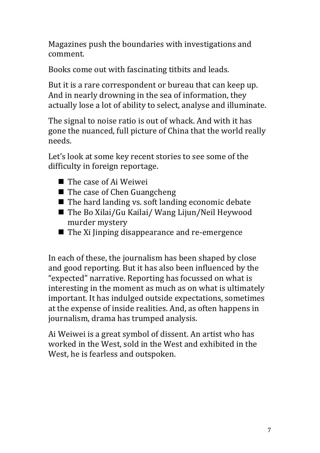Magazines push the boundaries with investigations and comment.

Books come out with fascinating titbits and leads.

But it is a rare correspondent or bureau that can keep up. And in nearly drowning in the sea of information, they actually lose a lot of ability to select, analyse and illuminate.

The signal to noise ratio is out of whack. And with it has gone the nuanced, full picture of China that the world really needs.

Let's look at some key recent stories to see some of the difficulty in foreign reportage.

- $\blacksquare$  The case of Ai Weiwei
- $\blacksquare$  The case of Chen Guangcheng
- $\blacksquare$  The hard landing vs. soft landing economic debate
- $\blacksquare$  The Bo Xilai/Gu Kailai/ Wang Lijun/Neil Heywood murder mystery
- $\blacksquare$  The Xi Jinping disappearance and re-emergence

In each of these, the journalism has been shaped by close and good reporting. But it has also been influenced by the "expected" narrative. Reporting has focussed on what is interesting in the moment as much as on what is ultimately important. It has indulged outside expectations, sometimes at the expense of inside realities. And, as often happens in journalism, drama has trumped analysis.

Ai Weiwei is a great symbol of dissent. An artist who has worked in the West, sold in the West and exhibited in the West, he is fearless and outspoken.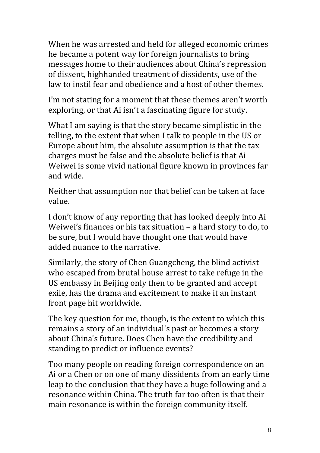When he was arrested and held for alleged economic crimes he became a potent way for foreign journalists to bring messages home to their audiences about China's repression of dissent, highhanded treatment of dissidents, use of the law to instil fear and obedience and a host of other themes.

I'm not stating for a moment that these themes aren't worth exploring, or that Ai isn't a fascinating figure for study.

What I am saying is that the story became simplistic in the telling, to the extent that when I talk to people in the US or Europe about him, the absolute assumption is that the tax charges must be false and the absolute belief is that Ai Weiwei is some vivid national figure known in provinces far and wide.

Neither that assumption nor that belief can be taken at face value.

I don't know of any reporting that has looked deeply into Ai Weiwei's finances or his tax situation  $-$  a hard story to do, to be sure, but I would have thought one that would have added nuance to the narrative.

Similarly, the story of Chen Guangcheng, the blind activist who escaped from brutal house arrest to take refuge in the US embassy in Beijing only then to be granted and accept exile, has the drama and excitement to make it an instant front page hit worldwide.

The key question for me, though, is the extent to which this remains a story of an individual's past or becomes a story about China's future. Does Chen have the credibility and standing to predict or influence events?

Too many people on reading foreign correspondence on an Ai or a Chen or on one of many dissidents from an early time leap to the conclusion that they have a huge following and a resonance within China. The truth far too often is that their main resonance is within the foreign community itself.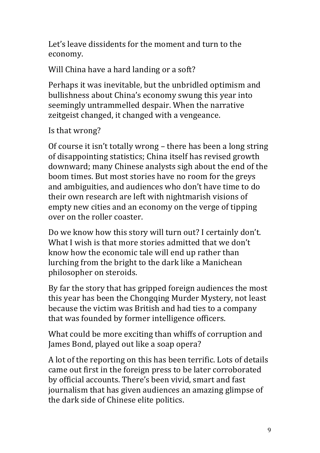Let's leave dissidents for the moment and turn to the economy.

Will China have a hard landing or a soft?

Perhaps it was inevitable, but the unbridled optimism and bullishness about China's economy swung this year into seemingly untrammelled despair. When the narrative zeitgeist changed, it changed with a vengeance.

Is that wrong?

Of course it isn't totally wrong  $-$  there has been a long string of disappointing statistics; China itself has revised growth downward; many Chinese analysts sigh about the end of the boom times. But most stories have no room for the greys and ambiguities, and audiences who don't have time to do their own research are left with nightmarish visions of empty new cities and an economy on the verge of tipping over on the roller coaster.

Do we know how this story will turn out? I certainly don't. What I wish is that more stories admitted that we don't know how the economic tale will end up rather than lurching from the bright to the dark like a Manichean philosopher on steroids.

By far the story that has gripped foreign audiences the most this year has been the Chongqing Murder Mystery, not least because the victim was British and had ties to a company that was founded by former intelligence officers.

What could be more exciting than whiffs of corruption and James Bond, played out like a soap opera?

A lot of the reporting on this has been terrific. Lots of details came out first in the foreign press to be later corroborated by official accounts. There's been vivid, smart and fast journalism that has given audiences an amazing glimpse of the dark side of Chinese elite politics.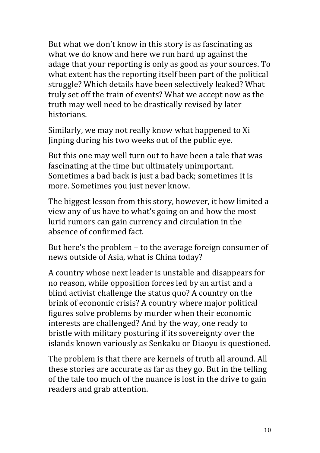But what we don't know in this story is as fascinating as what we do know and here we run hard up against the adage that your reporting is only as good as your sources. To what extent has the reporting itself been part of the political struggle? Which details have been selectively leaked? What truly set off the train of events? What we accept now as the truth may well need to be drastically revised by later historians.

Similarly, we may not really know what happened to Xi Jinping during his two weeks out of the public eye.

But this one may well turn out to have been a tale that was fascinating at the time but ultimately unimportant. Sometimes a bad back is just a bad back; sometimes it is more. Sometimes you just never know.

The biggest lesson from this story, however, it how limited a view any of us have to what's going on and how the most lurid rumors can gain currency and circulation in the absence of confirmed fact.

But here's the problem  $-$  to the average foreign consumer of news outside of Asia, what is China today?

A country whose next leader is unstable and disappears for no reason, while opposition forces led by an artist and a blind activist challenge the status quo? A country on the brink of economic crisis? A country where major political figures solve problems by murder when their economic interests are challenged? And by the way, one ready to bristle with military posturing if its sovereignty over the islands known variously as Senkaku or Diaoyu is questioned.

The problem is that there are kernels of truth all around. All these stories are accurate as far as they go. But in the telling of the tale too much of the nuance is lost in the drive to gain readers and grab attention.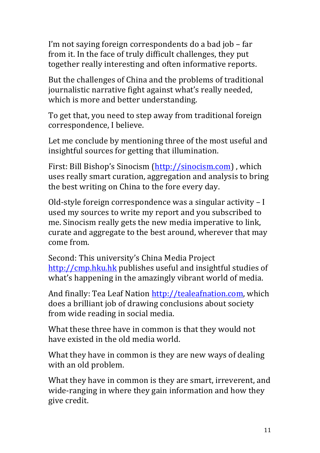I'm not saying foreign correspondents do a bad job – far from it. In the face of truly difficult challenges, they put together really interesting and often informative reports.

But the challenges of China and the problems of traditional journalistic narrative fight against what's really needed, which is more and better understanding.

To get that, you need to step away from traditional foreign correspondence, I believe.

Let me conclude by mentioning three of the most useful and insightful sources for getting that illumination.

First: Bill Bishop's Sinocism (http://sinocism.com), which uses really smart curation, aggregation and analysis to bring the best writing on China to the fore every day.

Old-style foreign correspondence was a singular activity  $-1$ used my sources to write my report and you subscribed to me. Sinocism really gets the new media imperative to link, curate and aggregate to the best around, wherever that may come from.

Second: This university's China Media Project http://cmp.hku.hk publishes useful and insightful studies of what's happening in the amazingly vibrant world of media.

And finally: Tea Leaf Nation http://tealeafnation.com, which does a brilliant job of drawing conclusions about society from wide reading in social media.

What these three have in common is that they would not have existed in the old media world.

What they have in common is they are new ways of dealing with an old problem.

What they have in common is they are smart, irreverent, and wide-ranging in where they gain information and how they give credit.